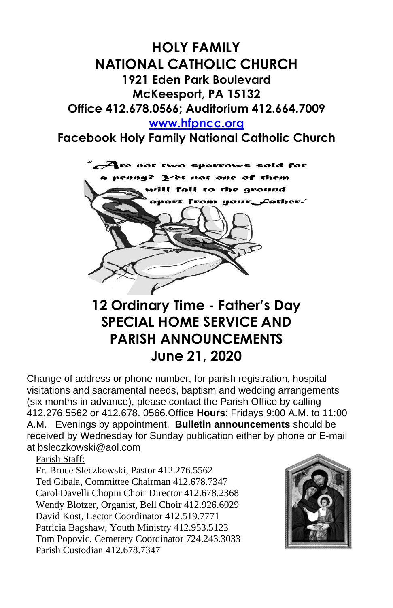## **HOLY FAMILY NATIONAL CATHOLIC CHURCH 1921 Eden Park Boulevard McKeesport, PA 15132 Office 412.678.0566; Auditorium 412.664.7009 [www.hfpncc.org](http://www.hfpncc.org/)**

**Facebook Holy Family National Catholic Church**



# **12 Ordinary Time - Father's Day SPECIAL HOME SERVICE AND PARISH ANNOUNCEMENTS June 21, 2020**

Change of address or phone number, for parish registration, hospital visitations and sacramental needs, baptism and wedding arrangements (six months in advance), please contact the Parish Office by calling 412.276.5562 or 412.678. 0566.Office **Hours**: Fridays 9:00 A.M. to 11:00 A.M. Evenings by appointment. **Bulletin announcements** should be received by Wednesday for Sunday publication either by phone or E-mail at [bsleczkowski@aol.com](mailto:bsleczkowski@aol.com)

Parish Staff:

Fr. Bruce Sleczkowski, Pastor 412.276.5562 Ted Gibala, Committee Chairman 412.678.7347 Carol Davelli Chopin Choir Director 412.678.2368 Wendy Blotzer, Organist, Bell Choir 412.926.6029 David Kost, Lector Coordinator 412.519.7771 Patricia Bagshaw, Youth Ministry 412.953.5123 Tom Popovic, Cemetery Coordinator 724.243.3033 Parish Custodian 412.678.7347

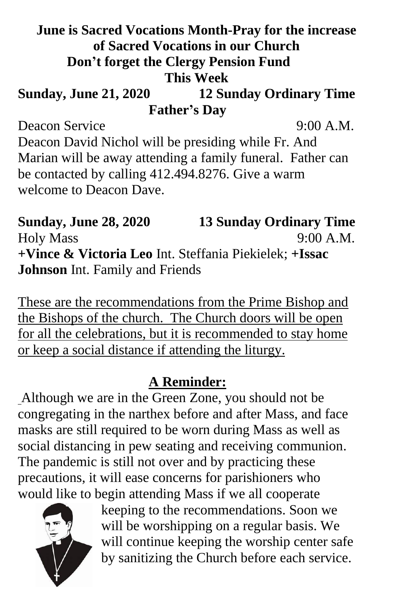# **June is Sacred Vocations Month-Pray for the increase of Sacred Vocations in our Church Don't forget the Clergy Pension Fund This Week**

### **Sunday, June 21, 2020 12 Sunday Ordinary Time Father's Day**

Deacon Service 9:00 A.M.

Deacon David Nichol will be presiding while Fr. And Marian will be away attending a family funeral. Father can be contacted by calling 412.494.8276. Give a warm welcome to Deacon Dave.

**Sunday, June 28, 2020 13 Sunday Ordinary Time** Holy Mass 9:00 A.M. **+Vince & Victoria Leo** Int. Steffania Piekielek; **+Issac Johnson** Int. Family and Friends

These are the recommendations from the Prime Bishop and the Bishops of the church. The Church doors will be open for all the celebrations, but it is recommended to stay home or keep a social distance if attending the liturgy.

# **A Reminder:**

Although we are in the Green Zone, you should not be congregating in the narthex before and after Mass, and face masks are still required to be worn during Mass as well as social distancing in pew seating and receiving communion. The pandemic is still not over and by practicing these precautions, it will ease concerns for parishioners who would like to begin attending Mass if we all cooperate



keeping to the recommendations. Soon we will be worshipping on a regular basis. We will continue keeping the worship center safe by sanitizing the Church before each service.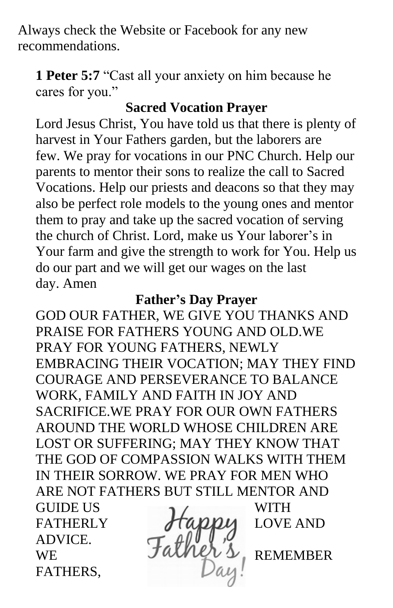Always check the Website or Facebook for any new recommendations.

**1 Peter 5:7** "Cast all your anxiety on him because he cares for you."

### **Sacred Vocation Prayer**

Lord Jesus Christ, You have told us that there is plenty of harvest in Your Fathers garden, but the laborers are few. We pray for vocations in our PNC Church. Help our parents to mentor their sons to realize the call to Sacred Vocations. Help our priests and deacons so that they may also be perfect role models to the young ones and mentor them to pray and take up the sacred vocation of serving the church of Christ. Lord, make us Your laborer's in Your farm and give the strength to work for You. Help us do our part and we will get our wages on the last day. Amen

## **Father's Day Prayer**

GOD OUR FATHER, WE GIVE YOU THANKS AND PRAISE FOR FATHERS YOUNG AND OLD.WE PRAY FOR YOUNG FATHERS, NEWLY EMBRACING THEIR VOCATION; MAY THEY FIND COURAGE AND PERSEVERANCE TO BALANCE WORK, FAMILY AND FAITH IN JOY AND SACRIFICE.WE PRAY FOR OUR OWN FATHERS AROUND THE WORLD WHOSE CHILDREN ARE LOST OR SUFFERING; MAY THEY KNOW THAT THE GOD OF COMPASSION WALKS WITH THEM IN THEIR SORROW. WE PRAY FOR MEN WHO ARE NOT FATHERS BUT STILL MENTOR AND GUIDE US WITH FATHERLY Happy LOVE AND ADVICE. WE JAURULU S REMEMBER FATHERS,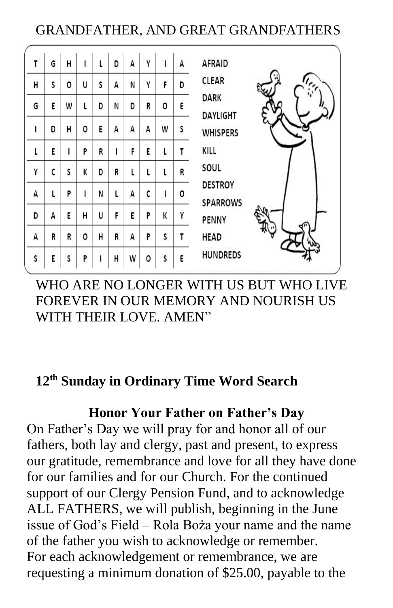### GRANDFATHER, AND GREAT GRANDFATHERS

| T | G | н | ı |   | D | А | γ | ľ | А | AFRAID                            |
|---|---|---|---|---|---|---|---|---|---|-----------------------------------|
| н | s | 0 | U | S | А | N | γ | F | D | CLEAR<br>$t_{r_{\rho}}$           |
| G | Ε | W | L | D | N | D | R | 0 | E | DARK<br>DAYLIGHT                  |
|   | D | H | 0 | E | А | А | Α | W | S | <b>WHISPERS</b>                   |
| ι | E | ı | P | Ŕ |   | F | E | ι | T | KILL                              |
| γ | c | s | K | D | R | L | L |   | R | SOUL                              |
| А |   | P | ı | N | L | А | C | L | ٥ | <b>DESTROY</b><br><b>SPARROWS</b> |
| D | А | E | Н | U | F | Ε | P | K | γ | PENNY                             |
| A | R | R | 0 | н | R | А | P | S | T | <b>HEAD</b>                       |
| s | Ε | S | P |   | H | W | ٥ | S | E | <b>HUNDREDS</b>                   |

WHO ARE NO LONGER WITH US BUT WHO LIVE FOREVER IN OUR MEMORY AND NOURISH US WITH THEIR LOVE. AMEN"

#### **12th Sunday in Ordinary Time Word Search**

**Honor Your Father on Father's Day**

On Father's Day we will pray for and honor all of our fathers, both lay and clergy, past and present, to express our gratitude, remembrance and love for all they have done for our families and for our Church. For the continued support of our Clergy Pension Fund, and to acknowledge ALL FATHERS, we will publish, beginning in the June issue of God's Field – Rola Boża your name and the name of the father you wish to acknowledge or remember. For each acknowledgement or remembrance, we are requesting a minimum donation of \$25.00, payable to the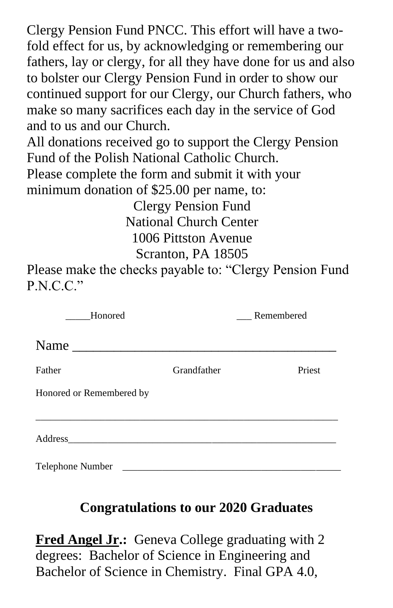Clergy Pension Fund PNCC. This effort will have a twofold effect for us, by acknowledging or remembering our fathers, lay or clergy, for all they have done for us and also to bolster our Clergy Pension Fund in order to show our continued support for our Clergy, our Church fathers, who make so many sacrifices each day in the service of God and to us and our Church.

All donations received go to support the Clergy Pension Fund of the Polish National Catholic Church. Please complete the form and submit it with your minimum donation of \$25.00 per name, to:

Clergy Pension Fund National Church Center 1006 Pittston Avenue Scranton, PA 18505

Please make the checks payable to: "Clergy Pension Fund P.N.C.C."

| Honored                  |             | Remembered |  |  |
|--------------------------|-------------|------------|--|--|
| Name                     |             |            |  |  |
| Father                   | Grandfather | Priest     |  |  |
| Honored or Remembered by |             |            |  |  |
|                          |             |            |  |  |
| Telephone Number         |             |            |  |  |

## **Congratulations to our 2020 Graduates**

**Fred Angel Jr.:** Geneva College graduating with 2 degrees: Bachelor of Science in Engineering and Bachelor of Science in Chemistry. Final GPA 4.0,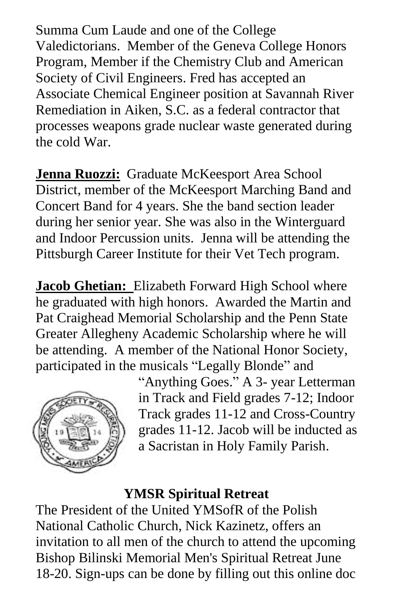Summa Cum Laude and one of the College Valedictorians. Member of the Geneva College Honors Program, Member if the Chemistry Club and American Society of Civil Engineers. Fred has accepted an Associate Chemical Engineer position at Savannah River Remediation in Aiken, S.C. as a federal contractor that processes weapons grade nuclear waste generated during the cold War.

**Jenna Ruozzi:** Graduate McKeesport Area School District, member of the McKeesport Marching Band and Concert Band for 4 years. She the band section leader during her senior year. She was also in the Winterguard and Indoor Percussion units. Jenna will be attending the Pittsburgh Career Institute for their Vet Tech program.

**Jacob Ghetian:** Elizabeth Forward High School where he graduated with high honors. Awarded the Martin and Pat Craighead Memorial Scholarship and the Penn State Greater Allegheny Academic Scholarship where he will be attending. A member of the National Honor Society, participated in the musicals "Legally Blonde" and



"Anything Goes." A 3- year Letterman in Track and Field grades 7-12; Indoor Track grades 11-12 and Cross-Country grades 11-12. Jacob will be inducted as a Sacristan in Holy Family Parish.

### **YMSR Spiritual Retreat**

The President of the United YMSofR of the Polish National Catholic Church, Nick Kazinetz, offers an invitation to all men of the church to attend the upcoming Bishop Bilinski Memorial Men's Spiritual Retreat June 18-20. Sign-ups can be done by filling out this online doc